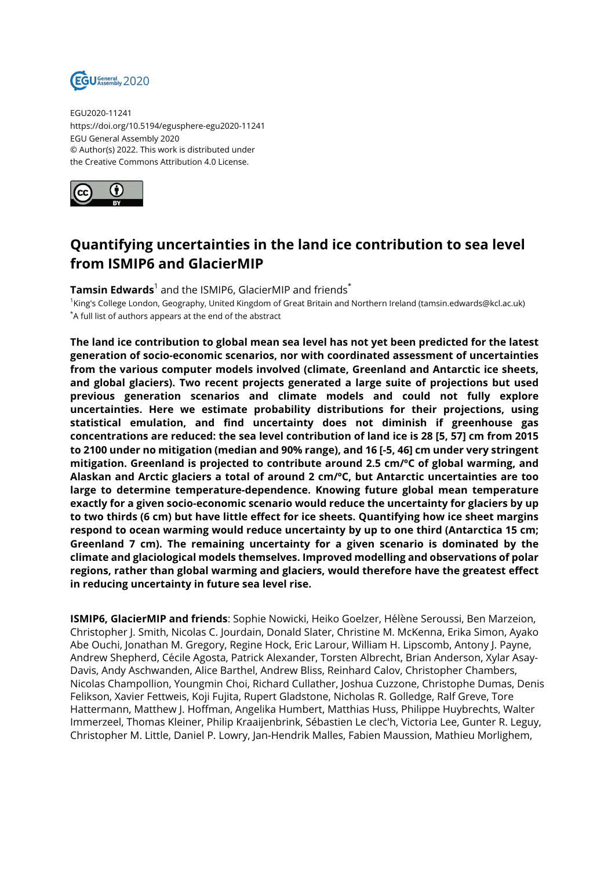

EGU2020-11241 https://doi.org/10.5194/egusphere-egu2020-11241 EGU General Assembly 2020 © Author(s) 2022. This work is distributed under the Creative Commons Attribution 4.0 License.



## **Quantifying uncertainties in the land ice contribution to sea level from ISMIP6 and GlacierMIP**

 $\textsf{Tamsin}~\textsf{Edwards}^1$  and the ISMIP6, GlacierMIP and friends $^*$ 

1 King's College London, Geography, United Kingdom of Great Britain and Northern Ireland (tamsin.edwards@kcl.ac.uk) \*A full list of authors appears at the end of the abstract

**The land ice contribution to global mean sea level has not yet been predicted for the latest generation of socio-economic scenarios, nor with coordinated assessment of uncertainties from the various computer models involved (climate, Greenland and Antarctic ice sheets, and global glaciers). Two recent projects generated a large suite of projections but used previous generation scenarios and climate models and could not fully explore uncertainties. Here we estimate probability distributions for their projections, using statistical emulation, and find uncertainty does not diminish if greenhouse gas concentrations are reduced: the sea level contribution of land ice is 28 [5, 57] cm from 2015 to 2100 under no mitigation (median and 90% range), and 16 [-5, 46] cm under very stringent mitigation. Greenland is projected to contribute around 2.5 cm/ºC of global warming, and Alaskan and Arctic glaciers a total of around 2 cm/ºC, but Antarctic uncertainties are too large to determine temperature-dependence. Knowing future global mean temperature exactly for a given socio-economic scenario would reduce the uncertainty for glaciers by up to two thirds (6 cm) but have little effect for ice sheets. Quantifying how ice sheet margins respond to ocean warming would reduce uncertainty by up to one third (Antarctica 15 cm; Greenland 7 cm). The remaining uncertainty for a given scenario is dominated by the climate and glaciological models themselves. Improved modelling and observations of polar regions, rather than global warming and glaciers, would therefore have the greatest effect in reducing uncertainty in future sea level rise.**

**ISMIP6, GlacierMIP and friends**: Sophie Nowicki, Heiko Goelzer, Hélène Seroussi, Ben Marzeion, Christopher J. Smith, Nicolas C. Jourdain, Donald Slater, Christine M. McKenna, Erika Simon, Ayako Abe Ouchi, Jonathan M. Gregory, Regine Hock, Eric Larour, William H. Lipscomb, Antony J. Payne, Andrew Shepherd, Cécile Agosta, Patrick Alexander, Torsten Albrecht, Brian Anderson, Xylar Asay-Davis, Andy Aschwanden, Alice Barthel, Andrew Bliss, Reinhard Calov, Christopher Chambers, Nicolas Champollion, Youngmin Choi, Richard Cullather, Joshua Cuzzone, Christophe Dumas, Denis Felikson, Xavier Fettweis, Koji Fujita, Rupert Gladstone, Nicholas R. Golledge, Ralf Greve, Tore Hattermann, Matthew J. Hoffman, Angelika Humbert, Matthias Huss, Philippe Huybrechts, Walter Immerzeel, Thomas Kleiner, Philip Kraaijenbrink, Sébastien Le clec'h, Victoria Lee, Gunter R. Leguy, Christopher M. Little, Daniel P. Lowry, Jan-Hendrik Malles, Fabien Maussion, Mathieu Morlighem,